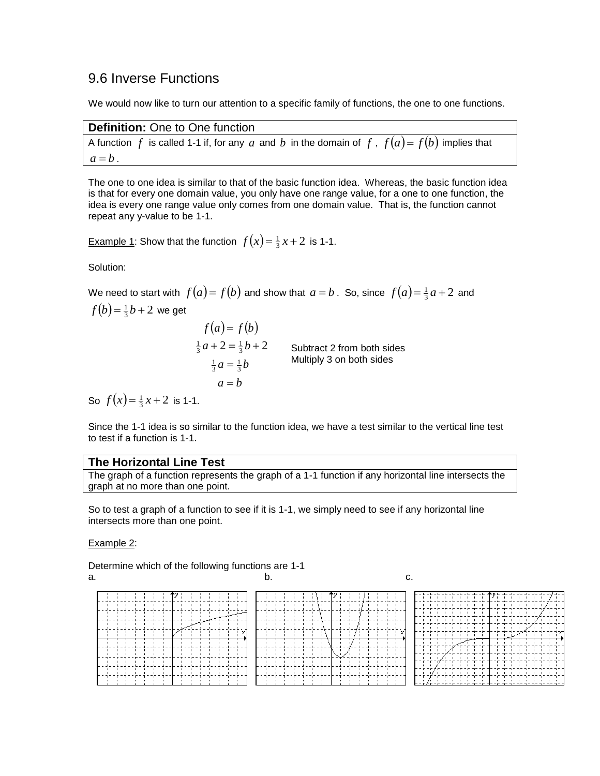# 9.6 Inverse Functions

We would now like to turn our attention to a specific family of functions, the one to one functions.

| <b>Definition:</b> One to One function                                                        |
|-----------------------------------------------------------------------------------------------|
| A function f is called 1-1 if, for any a and b in the domain of f, $f(a) = f(b)$ implies that |
| $a = b$ .                                                                                     |

The one to one idea is similar to that of the basic function idea. Whereas, the basic function idea is that for every one domain value, you only have one range value, for a one to one function, the idea is every one range value only comes from one domain value. That is, the function cannot repeat any y-value to be 1-1.

<u>Example 1</u>: Show that the function  $f(x) = \frac{1}{3}x + 2$  is 1-1.

Solution:

We need to start with  $f(a) = f(b)$  and show that  $a = b$  . So, since  $f(a) = \frac{1}{3}a + 2$  and

 $f(b) = \frac{1}{3}b + 2$  we get  $f(a) = f(b)$  $a = b$  $\frac{1}{3}a = \frac{1}{3}b$  $\frac{1}{3}a+2=\frac{1}{3}b+2$ Subtract 2 from both sides Multiply 3 on both sides So  $f(x) = \frac{1}{3}x + 2$  is 1-1.

Since the 1-1 idea is so similar to the function idea, we have a test similar to the vertical line test to test if a function is 1-1.

#### **The Horizontal Line Test**

The graph of a function represents the graph of a 1-1 function if any horizontal line intersects the graph at no more than one point.

So to test a graph of a function to see if it is 1-1, we simply need to see if any horizontal line intersects more than one point.

#### Example 2:

Determine which of the following functions are 1-1 a.  $\qquad \qquad \qquad b.$  c.

|  |  | $\mathbf{r}$ | $\mathbf{L}$ |  |  |  |  |  |
|--|--|--------------|--------------|--|--|--|--|--|
|  |  |              |              |  |  |  |  |  |

|  |  | ייר היה היה הרובה הוא היה היה היה היה היה היה ה |  |  |                                             |  |         |  |                     |  |   |  |                                                               |  |  | ы |  |
|--|--|-------------------------------------------------|--|--|---------------------------------------------|--|---------|--|---------------------|--|---|--|---------------------------------------------------------------|--|--|---|--|
|  |  | .                                               |  |  |                                             |  |         |  |                     |  |   |  | 나는 눈 두 눈이 들어 들어서 들어서 그렇게 놀이 들어 들어 들어 들어 들어 들어 들어 들었다.         |  |  |   |  |
|  |  |                                                 |  |  |                                             |  |         |  |                     |  |   |  | - 는 - 는 - 는 - 는 - 는 - [- -]- -]- -]- -]- -]- -]- -]- -]-<br>. |  |  |   |  |
|  |  | .                                               |  |  |                                             |  |         |  |                     |  |   |  |                                                               |  |  |   |  |
|  |  | .                                               |  |  |                                             |  |         |  |                     |  | . |  |                                                               |  |  |   |  |
|  |  | .                                               |  |  | .                                           |  |         |  |                     |  |   |  | $\cdots$ $\cdots$ $\cdots$                                    |  |  |   |  |
|  |  |                                                 |  |  |                                             |  | 7 T T T |  |                     |  |   |  | .                                                             |  |  |   |  |
|  |  |                                                 |  |  | .                                           |  |         |  |                     |  |   |  | יות הות הות הות הות הות הות ה ה הות הות הו<br>.               |  |  |   |  |
|  |  |                                                 |  |  |                                             |  |         |  | 1. 1. 1. 1. 1. 1. 1 |  |   |  | .                                                             |  |  |   |  |
|  |  |                                                 |  |  | <b><i>Black Black Black Black Black</i></b> |  |         |  |                     |  |   |  | .                                                             |  |  |   |  |
|  |  |                                                 |  |  | . 1                                         |  |         |  |                     |  |   |  | 지수는 지는 지는 지는 지수는 지수 지는 지수 지수 지수 지수 지수 있다.<br>.                |  |  |   |  |
|  |  |                                                 |  |  |                                             |  |         |  |                     |  |   |  |                                                               |  |  |   |  |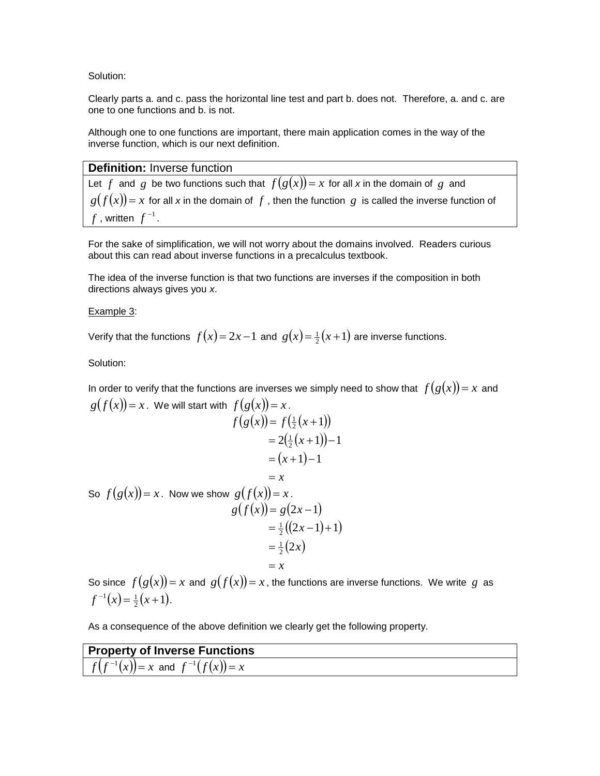Solution:

Clearly parts a. and c. pass the horizontal line test and part b. does not. Therefore, a. and c. are one to one functions and b. is not.

Although one to one functions are important, there main application comes in the way of the inverse function, which is our next definition.

#### **Definition:** Inverse function

Let  $f$  and  $g$  be two functions such that  $f(g(x)) = x$  for all x in the domain of  $g$  and  $g(f(x)) = x$  for all x in the domain of  $f$  , then the function  $g$  is called the inverse function of  $f$  , written  $f^{-1}$  .

For the sake of simplification, we will not worry about the domains involved. Readers curious about this can read about inverse functions in a precalculus textbook.

The idea of the inverse function is that two functions are inverses if the composition in both directions always gives you *x*.

#### Example 3:

Verify that the functions  $f(x) = 2x - 1$  and  $g(x) = \frac{1}{2}(x+1)$  are inverse functions.

Solution:

In order to verify that the functions are inverses we simply need to show that  $f(g(x)) = x$  and  $g(f(x)) = x$ . We will start with  $f(g(x)) = x$ .  $f(g(x)) = f(\frac{1}{2}(x+1))$  $=2(\frac{1}{2}(x+1))-1$  $=(x+1)-1$  $= x$ So  $f(g(x)) = x$ . Now we show  $g(f(x)) = x$ .  $g(f(x)) = g(2x-1)$  $=\frac{1}{2}((2x-1)+1)$  $=\frac{1}{2}(2x)$ 

So since  $f(g(x)) = x$  and  $g(f(x)) = x$ , the functions are inverse functions. We write g as  $f^{-1}(x) = \frac{1}{2}(x+1).$ 

 $= x$ 

As a consequence of the above definition we clearly get the following property.

| <b>Property of Inverse Functions</b>      |  |
|-------------------------------------------|--|
| $f(f^{-1}(x)) = x$ and $f^{-1}(f(x)) = x$ |  |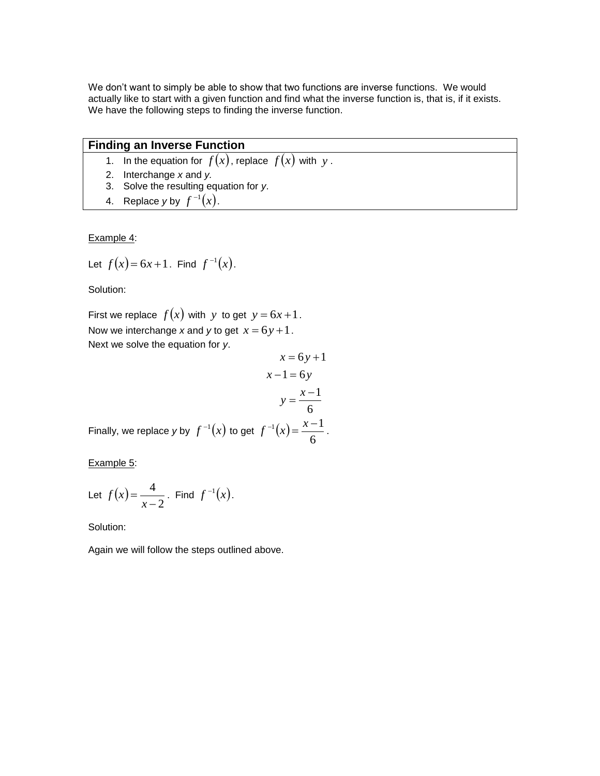We don't want to simply be able to show that two functions are inverse functions. We would actually like to start with a given function and find what the inverse function is, that is, if it exists. We have the following steps to finding the inverse function.

# **Finding an Inverse Function**

- 1. In the equation for  $f(x)$ , replace  $f(x)$  with  $y$ .
- 2. Interchange *x* and *y.*
- 3. Solve the resulting equation for *y*.
- 4. Replace y by  $f^{-1}(x)$ .

Example 4:

Let 
$$
f(x) = 6x + 1
$$
. Find  $f^{-1}(x)$ .

Solution:

First we replace  $f(x)$  with y to get  $y = 6x + 1$ . Now we interchange x and y to get  $x = 6y + 1$ . Next we solve the equation for *y*.

$$
x = 6y + 1
$$
  
\n
$$
x - 1 = 6y
$$
  
\n
$$
y = \frac{x - 1}{6}
$$
  
\nto get  $f^{-1}(x) = \frac{x - 1}{6}$ .

Example 5:

Let 
$$
f(x) = \frac{4}{x-2}
$$
. Find  $f^{-1}(x)$ .

Finally, we replace *y* by  $f^{-1}(x)$ 

Solution:

Again we will follow the steps outlined above.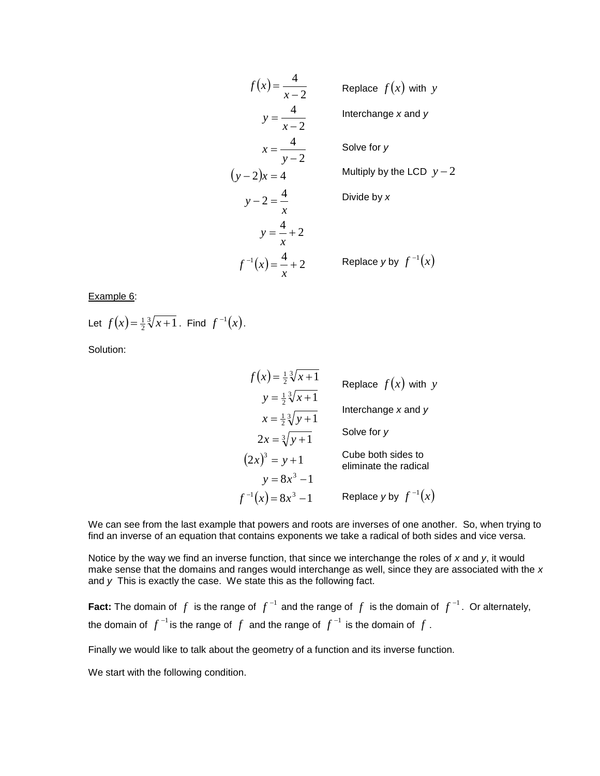$$
f(x) = \frac{4}{x - 2}
$$
  
\n
$$
y = \frac{4}{x - 2}
$$
  
\n
$$
x = \frac{4}{y - 2}
$$
  
\n
$$
y = 2
$$
  
\nSolve for y  
\n
$$
(y - 2)x = 4
$$
  
\n
$$
y = \frac{4}{x} + 2
$$
  
\n
$$
f^{-1}(x) = \frac{4}{x} + 2
$$
  
\nReplace y by f<sup>-1</sup>(x)  
\nReplace y by f<sup>-1</sup>(x)

Example 6:

Let  $f(x) = \frac{1}{2}$  $f(x) = \frac{1}{2}\sqrt[3]{x+1}$ . Find  $f^{-1}(x)$ .

Solution:

$$
f(x) = \frac{1}{2} \sqrt[3]{x+1}
$$
  
\n
$$
y = \frac{1}{2} \sqrt[3]{x+1}
$$
  
\n
$$
x = \frac{1}{2} \sqrt[3]{y+1}
$$
  
\n
$$
2x = \sqrt[3]{y+1}
$$
  
\nSolve for y  
\n
$$
y = 8x^3 - 1
$$
  
\nReplace x and y  
\nSolve for y  
\neliminate the radical  
\n
$$
y = 8x^3 - 1
$$
  
\nReplace y by  $f^{-1}(x)$ 

We can see from the last example that powers and roots are inverses of one another. So, when trying to find an inverse of an equation that contains exponents we take a radical of both sides and vice versa.

Notice by the way we find an inverse function, that since we interchange the roles of *x* and *y*, it would make sense that the domains and ranges would interchange as well, since they are associated with the *x* and *y* This is exactly the case. We state this as the following fact.

Fact: The domain of  $f$  is the range of  $f^{-1}$  and the range of  $f$  is the domain of  $f^{-1}$ . Or alternately, the domain of  $f^{-1}$  is the range of  $f$  and the range of  $f^{-1}$  is the domain of  $f$  .

Finally we would like to talk about the geometry of a function and its inverse function.

We start with the following condition.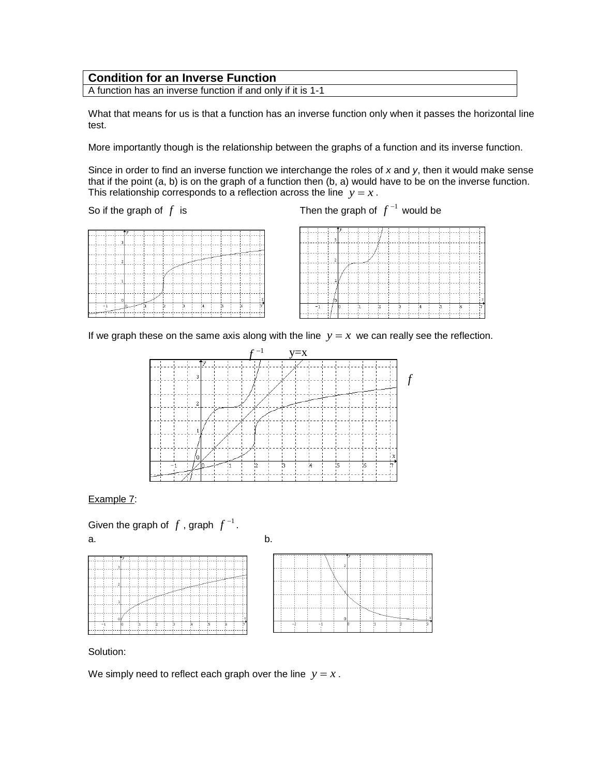### **Condition for an Inverse Function**

A function has an inverse function if and only if it is 1-1

What that means for us is that a function has an inverse function only when it passes the horizontal line test.

More importantly though is the relationship between the graphs of a function and its inverse function.

Since in order to find an inverse function we interchange the roles of x and y, then it would make sense that if the point (a, b) is on the graph of a function then (b, a) would have to be on the inverse function. This relationship corresponds to a reflection across the line  $y = x$ .

So if the graph of *f*

is  $\qquad \qquad$  Then the graph of  $\ f^{-1}$  would be

|  | $\lceil$ 3 | -C | <b>Contract Contract Contract</b> |  | and the contract of the contract of |     |    |    |  |
|--|------------|----|-----------------------------------|--|-------------------------------------|-----|----|----|--|
|  |            |    | $\sim$                            |  |                                     |     |    |    |  |
|  |            |    |                                   |  |                                     |     |    |    |  |
|  |            |    |                                   |  |                                     |     |    |    |  |
|  |            |    |                                   |  |                                     |     |    |    |  |
|  |            |    |                                   |  |                                     |     |    |    |  |
|  |            |    |                                   |  |                                     |     |    |    |  |
|  |            |    |                                   |  |                                     | 'n. | 15 | 16 |  |
|  |            |    |                                   |  |                                     |     |    |    |  |

|    |  | 3 | $\alpha = 10^6$ |    |                |              |                      |   |                            |              |    |  |
|----|--|---|-----------------|----|----------------|--------------|----------------------|---|----------------------------|--------------|----|--|
|    |  |   |                 |    |                |              |                      |   |                            |              |    |  |
|    |  | 2 |                 |    |                |              | w<br>v               |   |                            |              |    |  |
|    |  |   |                 |    |                |              | <b>COLLA</b>         |   |                            |              |    |  |
|    |  |   |                 |    | ۰.             | $\mathbf{L}$ | 50<br><b>COLLEGE</b> |   | $\mathbf{r}$<br><b>THE</b> |              |    |  |
|    |  |   |                 |    |                |              |                      |   |                            |              |    |  |
|    |  | o |                 |    |                |              |                      |   |                            |              |    |  |
| ш. |  |   |                 | н. | $\overline{2}$ |              | -12                  | ٠ | $\frac{1}{4}$              | $\mathbf{r}$ | 16 |  |
|    |  |   |                 |    |                |              |                      |   |                            |              |    |  |

If we graph these on the same axis along with the line  $y = x$  we can really see the reflection.



Example 7:

Given the graph of  $f$  , graph  $f^{-1}$  . a. b.





Solution:

We simply need to reflect each graph over the line  $y = x$ .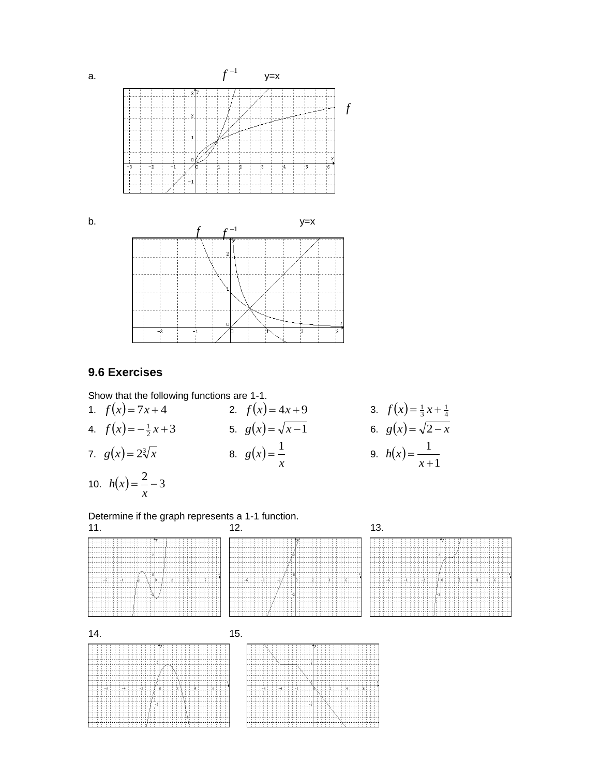

### **9.6 Exercises**

*x*

111111111111111

 $-6$ ;  $-4$ ;

Show that the following functions are 
$$
1-1
$$
.

 $^{-1}$ 

 $\frac{1}{2}$ 

1. 
$$
f(x)=7x+4
$$
  
\n2.  $f(x)=4x+9$   
\n3.  $f(x)=\frac{1}{3}x+\frac{1}{4}$   
\n4.  $f(x)=-\frac{1}{2}x+3$   
\n5.  $g(x)=\sqrt{x-1}$   
\n6.  $g(x)=\sqrt{2-x}$   
\n7.  $g(x)=2\sqrt[3]{x}$   
\n8.  $g(x)=\frac{1}{x}$   
\n9.  $h(x)=\frac{1}{x+1}$   
\n10.  $h(x) = \frac{2}{x}-3$ 

44444444

1113-61113-411

 $\overline{\mathbf{z}}$ 

13

\*\*\*\*\*\*\*\*\*\*

Determine if the graph represents a 1-1 function.  $11.$  12. 13.

|  |  |  |  |  |  |  |  |  |  |  |      |  |  |       |                      |   | у.                 |  | - 11     |      | $\cdots$ |                                |    |  |    |  |  |  |  |  |  |
|--|--|--|--|--|--|--|--|--|--|--|------|--|--|-------|----------------------|---|--------------------|--|----------|------|----------|--------------------------------|----|--|----|--|--|--|--|--|--|
|  |  |  |  |  |  |  |  |  |  |  |      |  |  |       |                      |   |                    |  | ran in   | - 97 |          |                                | 70 |  |    |  |  |  |  |  |  |
|  |  |  |  |  |  |  |  |  |  |  |      |  |  |       |                      |   |                    |  |          |      | v        | -----------------              |    |  |    |  |  |  |  |  |  |
|  |  |  |  |  |  |  |  |  |  |  |      |  |  |       |                      |   |                    |  |          |      |          |                                |    |  |    |  |  |  |  |  |  |
|  |  |  |  |  |  |  |  |  |  |  |      |  |  |       |                      |   |                    |  |          |      | -------  |                                |    |  |    |  |  |  |  |  |  |
|  |  |  |  |  |  |  |  |  |  |  |      |  |  |       |                      |   |                    |  |          |      |          | والمحاف والمحساس المسأل بالمدو |    |  |    |  |  |  |  |  |  |
|  |  |  |  |  |  |  |  |  |  |  |      |  |  |       |                      |   |                    |  | $\cdots$ |      |          |                                |    |  |    |  |  |  |  |  |  |
|  |  |  |  |  |  |  |  |  |  |  |      |  |  |       | $\sim$ $\sim$ $\sim$ |   |                    |  |          |      |          |                                |    |  |    |  |  |  |  |  |  |
|  |  |  |  |  |  |  |  |  |  |  |      |  |  |       |                      |   | <del>id/try</del>  |  |          |      |          |                                |    |  |    |  |  |  |  |  |  |
|  |  |  |  |  |  |  |  |  |  |  |      |  |  |       |                      |   | a a bashka ata ata |  |          |      |          |                                |    |  |    |  |  |  |  |  |  |
|  |  |  |  |  |  |  |  |  |  |  |      |  |  |       |                      |   |                    |  |          |      |          |                                |    |  |    |  |  |  |  |  |  |
|  |  |  |  |  |  |  |  |  |  |  |      |  |  |       |                      |   |                    |  |          |      |          |                                |    |  |    |  |  |  |  |  |  |
|  |  |  |  |  |  |  |  |  |  |  | $-2$ |  |  |       | п.                   |   |                    |  |          |      | z.       |                                |    |  | æ. |  |  |  |  |  |  |
|  |  |  |  |  |  |  |  |  |  |  |      |  |  |       | $\mathbf{f}$         |   |                    |  |          |      |          |                                |    |  |    |  |  |  |  |  |  |
|  |  |  |  |  |  |  |  |  |  |  |      |  |  | ---   |                      |   |                    |  |          |      |          |                                |    |  |    |  |  |  |  |  |  |
|  |  |  |  |  |  |  |  |  |  |  |      |  |  |       |                      |   |                    |  |          |      |          |                                |    |  |    |  |  |  |  |  |  |
|  |  |  |  |  |  |  |  |  |  |  |      |  |  |       | L٥                   | × |                    |  |          |      |          |                                |    |  |    |  |  |  |  |  |  |
|  |  |  |  |  |  |  |  |  |  |  |      |  |  |       |                      |   | .                  |  |          |      |          |                                |    |  |    |  |  |  |  |  |  |
|  |  |  |  |  |  |  |  |  |  |  |      |  |  | $+ -$ |                      |   | . .                |  |          |      |          |                                |    |  |    |  |  |  |  |  |  |
|  |  |  |  |  |  |  |  |  |  |  |      |  |  |       |                      |   |                    |  |          |      |          |                                |    |  |    |  |  |  |  |  |  |
|  |  |  |  |  |  |  |  |  |  |  |      |  |  |       |                      |   |                    |  |          |      |          |                                |    |  |    |  |  |  |  |  |  |
|  |  |  |  |  |  |  |  |  |  |  |      |  |  |       |                      |   |                    |  |          |      |          |                                |    |  |    |  |  |  |  |  |  |
|  |  |  |  |  |  |  |  |  |  |  |      |  |  |       |                      |   |                    |  |          |      |          |                                |    |  |    |  |  |  |  |  |  |



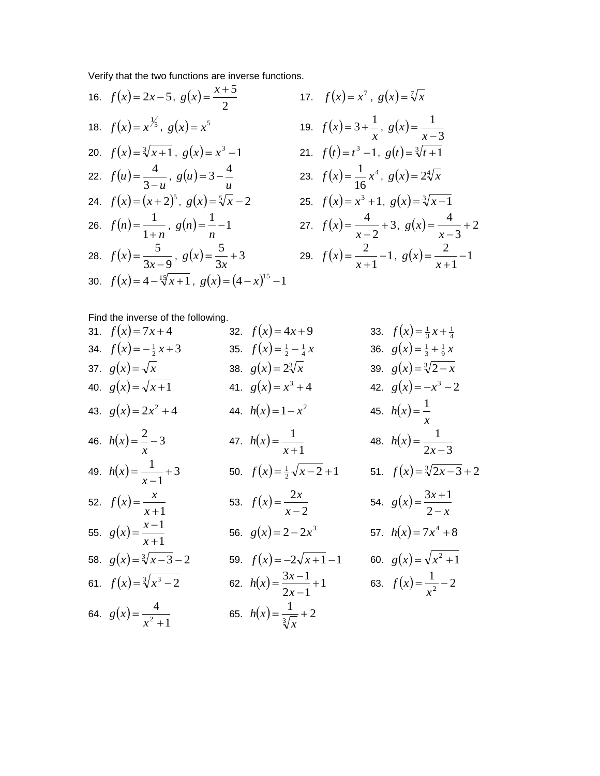Verify that the two functions are inverse functions.  $\sqrt{5}$ 

16. 
$$
f(x) = 2x - 5
$$
,  $g(x) = \frac{x+5}{2}$   
\n17.  $f(x) = x^7$ ,  $g(x) = \sqrt[7]{x}$   
\n18.  $f(x) = x^{\frac{1}{5}}$ ,  $g(x) = x^5$   
\n19.  $f(x) = 3 + \frac{1}{x}$ ,  $g(x) = \frac{1}{x-3}$   
\n20.  $f(x) = \sqrt[3]{x+1}$ ,  $g(x) = x^3 - 1$   
\n21.  $f(t) = t^3 - 1$ ,  $g(t) = \sqrt[3]{t+1}$   
\n22.  $f(u) = \frac{4}{3-u}$ ,  $g(u) = 3 - \frac{4}{u}$   
\n23.  $f(x) = \frac{1}{16}x^4$ ,  $g(x) = 2\sqrt[4]{x}$   
\n24.  $f(x) = (x+2)^5$ ,  $g(x) = \sqrt[5]{x-2}$   
\n25.  $f(x) = x^3 + 1$ ,  $g(x) = \sqrt[3]{x-1}$   
\n26.  $f(n) = \frac{1}{1+n}$ ,  $g(n) = \frac{1}{n} - 1$   
\n27.  $f(x) = \frac{4}{x-2} + 3$ ,  $g(x) = \frac{4}{x-3} + 2$   
\n28.  $f(x) = \frac{5}{3x-9}$ ,  $g(x) = \frac{5}{3x}$   
\n30.  $f(x) = 4 - \sqrt[15]{x+1}$ ,  $g(x) = (4-x)^{15} - 1$ 

3 1  $\overline{a}$ 

 $=$ *x*

 $=$ *x*

*g x*

3  $\frac{4}{1}$  $\overline{a}$ 

1  $\frac{2}{1}$  $\ddot{}$ 

 $=$ *x*

Find the inverse of the following.

| 31. $f(x)=7x+4$                | 32. $f(x)=4x+9$                         | 33. $f(x) = \frac{1}{3}x + \frac{1}{4}$ |
|--------------------------------|-----------------------------------------|-----------------------------------------|
| 34. $f(x) = -\frac{1}{2}x + 3$ | 35. $f(x) = \frac{1}{2} - \frac{1}{4}x$ | 36. $g(x) = \frac{1}{3} + \frac{1}{9}x$ |
| 37. $g(x) = \sqrt{x}$          | 38. $g(x) = 2\sqrt[3]{x}$               | 39. $g(x) = \sqrt[3]{2-x}$              |
| 40. $g(x) = \sqrt{x+1}$        | 41. $g(x) = x^3 + 4$                    | 42. $g(x) = -x^3 - 2$                   |
| 43. $g(x) = 2x^2 + 4$          | 44. $h(x)=1-x^2$                        | 45. $h(x) = \frac{1}{x}$                |
| 46. $h(x) = \frac{2}{x} - 3$   | 47. $h(x) = \frac{1}{x+1}$              | 48. $h(x) = \frac{1}{2x-3}$             |
| 49. $h(x) = \frac{1}{x-1} + 3$ | 50. $f(x) = \frac{1}{2}\sqrt{x-2} + 1$  | 51. $f(x) = \sqrt[3]{2x-3} + 2$         |
| 52. $f(x) = \frac{x}{x+1}$     | 53. $f(x) = \frac{2x}{x-2}$             | 54. $g(x) = \frac{3x+1}{2-x}$           |
| 55. $g(x) = \frac{x-1}{x+1}$   | 56. $g(x) = 2 - 2x^3$                   | 57. $h(x) = 7x^4 + 8$                   |
| 58. $g(x) = \sqrt[3]{x-3} - 2$ | 59. $f(x) = -2\sqrt{x+1} - 1$           | 60. $g(x) = \sqrt{x^2 + 1}$             |
| 61. $f(x) = \sqrt[3]{x^3 - 2}$ | 62. $h(x) = \frac{3x-1}{2x-1} + 1$      | 63. $f(x) = \frac{1}{x^2} - 2$          |
| 64. $g(x) = \frac{4}{x^2 + 1}$ | 65. $h(x) = \frac{1}{\sqrt[3]{x}} + 2$  |                                         |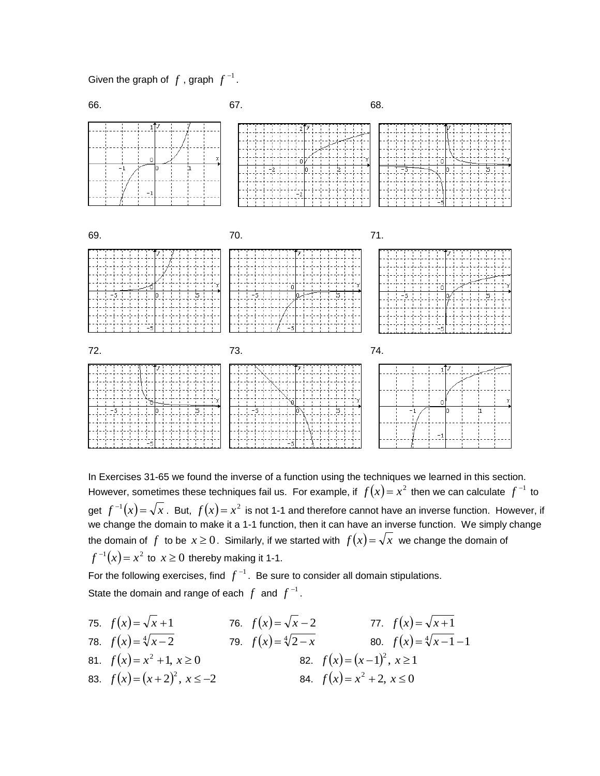Given the graph of  $f$  , graph  $f^{-1}$  .



In Exercises 31-65 we found the inverse of a function using the techniques we learned in this section. However, sometimes these techniques fail us. For example, if  $f(x)$  =  $x^2$  then we can calculate  $f^{-1}$  to get  $f^{-1}(x)$  =  $\sqrt{x}$  . But,  $f(x)$  =  $x^2$  is not 1-1 and therefore cannot have an inverse function. However, if we change the domain to make it a 1-1 function, then it can have an inverse function. We simply change the domain of  $f$  to be  $x \ge 0$ . Similarly, if we started with  $f(x) = \sqrt{x}$  we change the domain of  $f^{-1}(x)$   $=$   $x^2$  to  $x \ge 0$  thereby making it 1-1.

For the following exercises, find  $f^{-1}$  . Be sure to consider all domain stipulations. State the domain and range of each  $f$  and  $f^{-1}$ .

**75.**  $f(x) = \sqrt{x+1}$  **76.**  $f(x) = \sqrt{x-2}$  **77.**  $f(x) = \sqrt{x+1}$ **78.**  $f(x) = \sqrt[4]{x-2}$  **79.**  $f(x) = \sqrt[4]{2-x}$  **80.**  $f(x) = \sqrt[4]{x-1}-1$ 81.  $f(x)=x^2+1, x \ge 0$  82.  $f(x)=(x-1)^2, x \ge 1$ 83.  $f(x) = (x+2)^2, x \le -2$ <br>84.  $f(x) = x^2 + 2, x \le 0$